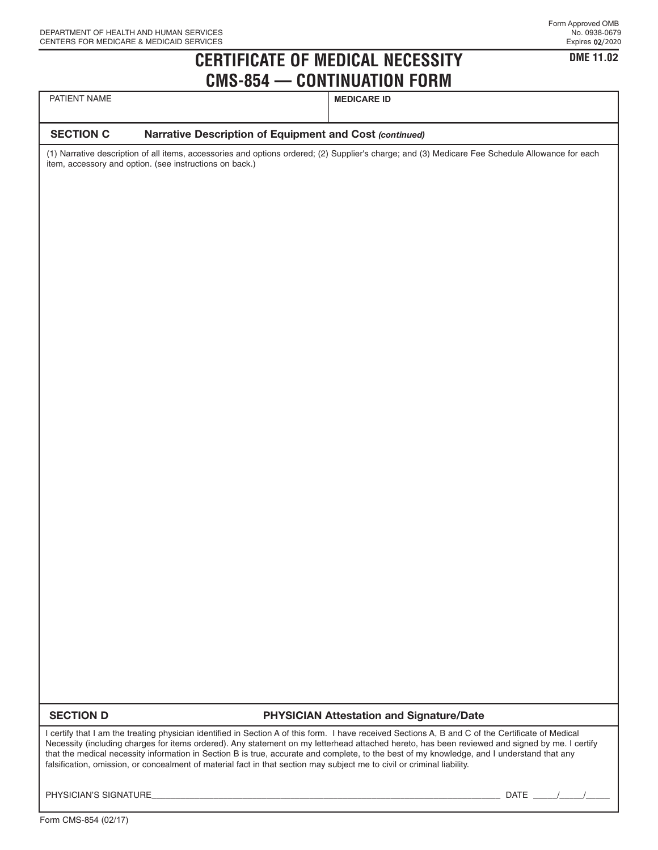**DME 11.02**

## **CERTIFICATE OF MEDICAL NECESSITY CMS-854 — CONTINUATION FORM**

| PATIENT NAME |  |
|--------------|--|
|--------------|--|

**MEDICARE ID** 

### **SECTION C Narrative Description of Equipment and Cost** *(continued)*

(1) Narrative description of all items, accessories and options ordered; (2) Supplier's charge; and (3) Medicare Fee Schedule Allowance for each item, accessory and option. (see instructions on back.)

## **SECTION D PHYSICIAN Attestation and Signature/Date**

I certify that I am the treating physician identified in Section A of this form. I have received Sections A, B and C of the Certificate of Medical Necessity (including charges for items ordered). Any statement on my letterhead attached hereto, has been reviewed and signed by me. I certify that the medical necessity information in Section B is true, accurate and complete, to the best of my knowledge, and I understand that any falsification, omission, or concealment of material fact in that section may subject me to civil or criminal liability.

PHYSICIAN'S SIGNATURE\_\_\_\_\_\_\_\_\_\_\_\_\_\_\_\_\_\_\_\_\_\_\_\_\_\_\_\_\_\_\_\_\_\_\_\_\_\_\_\_\_\_\_\_\_\_\_\_\_\_\_\_\_\_\_\_\_\_\_\_\_\_\_\_\_\_\_\_\_\_\_\_\_ DATE \_\_\_\_\_/\_\_\_\_\_/\_\_\_\_\_